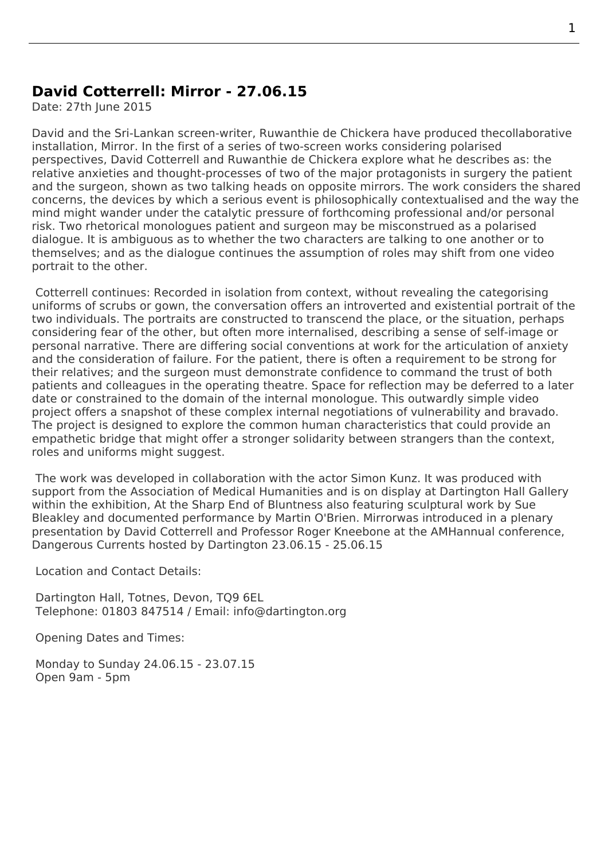## **David Cotterrell: Mirror - 27.06.15**

Date: 27th June 2015

David and the Sri-Lankan screen-writer, Ruwanthie de Chickera have produced thecollaborative installation, Mirror. In the first of a series of two-screen works considering polarised perspectives, David Cotterrell and Ruwanthie de Chickera explore what he describes as: the relative anxieties and thought-processes of two of the major protagonists in surgery the patient and the surgeon, shown as two talking [heads on opposite mirro](http://www.doollee.com/PlaywrightsD/de-chickera-ruwanthie.html)rs. The work considers the shared concerns, the devices by which a serious event is philosophically contextualised and the way the mind might wander under the catalytic pressure of forthcoming professional and/or personal risk. Two rhetorical monologues patient and surgeon may be misconstrued as a polarised dialogue. It is ambiguous as to whether the two characters are talking to one another or to themselves; and as the dialogue continues the assumption of roles may shift from one video portrait to the other.

 Cotterrell continues: Recorded in isolation from context, without revealing the categorising uniforms of scrubs or gown, the conversation offers an introverted and existential portrait of the two individuals. The portraits are constructed to transcend the place, or the situation, perhaps considering fear of the other, but often more internalised, describing a sense of self-image or personal narrative. There are differing social conventions at work for the articulation of anxiety and the consideration of failure. For the patient, there is often a requirement to be strong for their relatives; and the surgeon must demonstrate confidence to command the trust of both patients and colleagues in the operating theatre. Space for reflection may be deferred to a later date or constrained to the domain of the internal monologue. This outwardly simple video project offers a snapshot of these complex internal negotiations of vulnerability and bravado. The project is designed to explore the common human characteristics that could provide an empathetic bridge that might offer a stronger solidarity between strangers than the context, roles and uniforms might suggest.

 The work was developed in collaboration with the actor Simon Kunz. It was produced with support from the Association of Medical Humanities and is on display at Dartington Hall Gallery within the exhibition, At the Sharp End of Bluntness also featuring sculptural work by Sue Bleakley and documented performance by Martin O'Brien. Mirrorwas introduced in a plenary presentation by David Cotterrell and Professor Roger Kn[eebone at th](http://www.imdb.com/name/nm0475336/)e AMHannual conference, Dangerous Curre[nts hosted by Dartington 23.06.15](http://amh.ac.uk/wp-content/uploads/2014/10/AMH-Conference-Brochure-3.pdf) - 25.06.15

[Location](http://www.susanbleakley.org.uk/gallery/sculpture) and Contact Details:

 Dartington Hall, Totnes, Devon, TQ9 6EL Telephone: 01803 847514 / Email: info@dartington.org

Opening Dates and Times:

 Monday to Sunday 24.06.15 - 23.0[7.15](mailto:info@dartington.org?subject=Dartington%20Hall%20Gallery) Open 9am - 5pm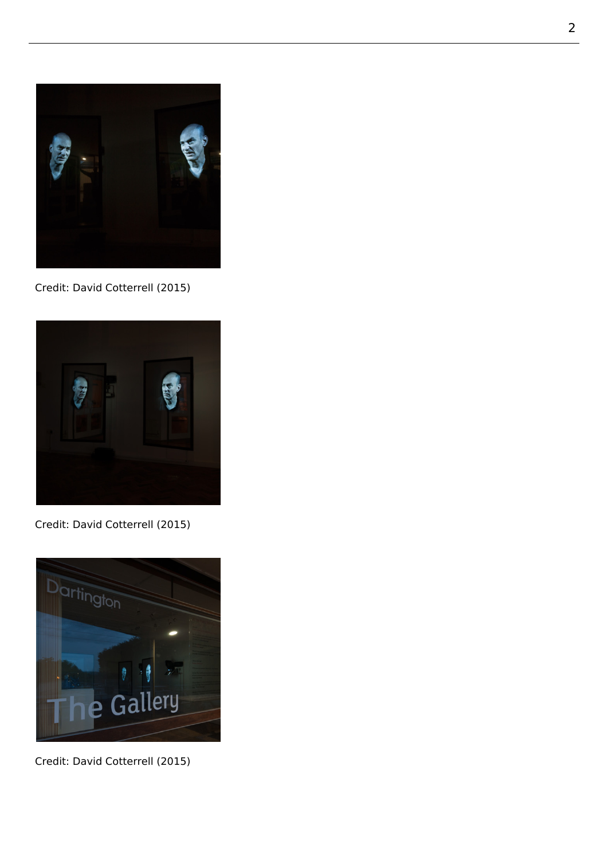

Credit: David Cotterrell (2015)



Credit: David Cotterrell (2015)



Credit: David Cotterrell (2015)